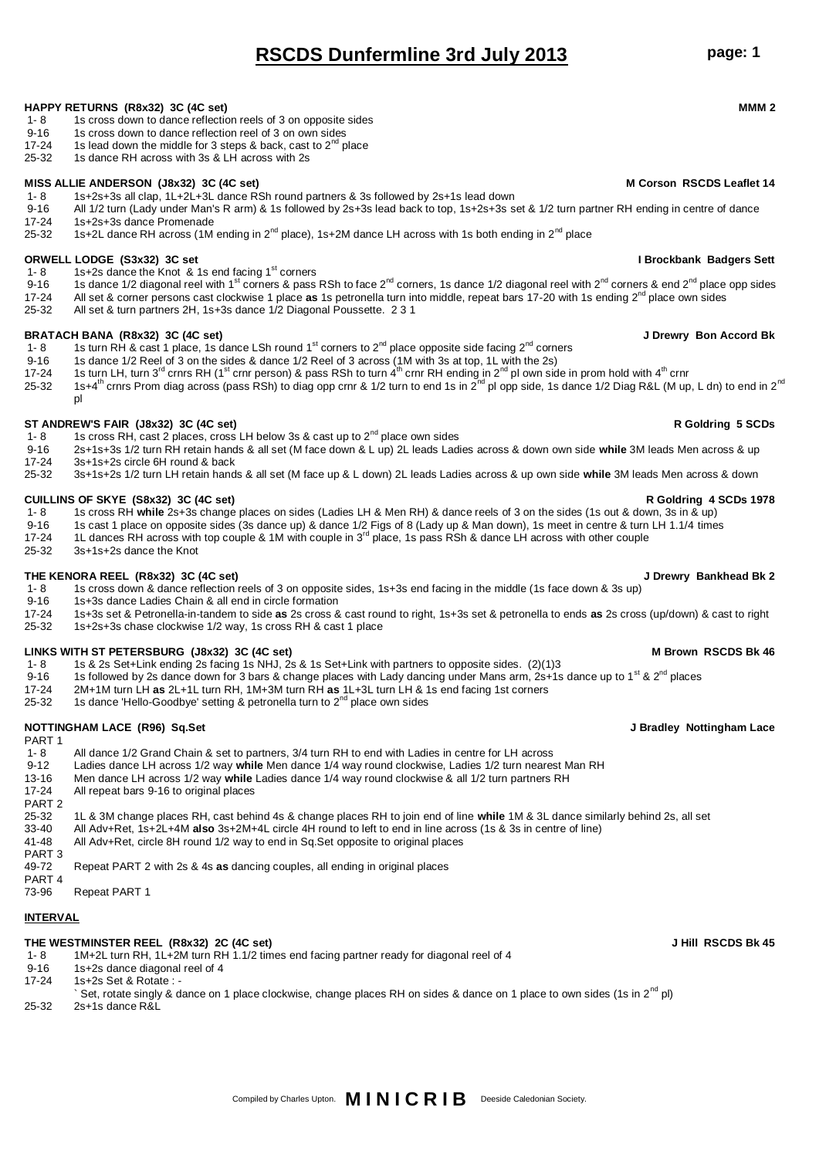- 1- 8 All dance 1/2 Grand Chain & set to partners, 3/4 turn RH to end with Ladies in centre for LH across<br>9-12 I adies dance I H across 1/2 way while Men dance 1/4 way round clockwise. Ladies 1/2 turn neares 9-12 Ladies dance LH across 1/2 way **while** Men dance 1/4 way round clockwise, Ladies 1/2 turn nearest Man RH
- 
- All repeat bars 9-16 to original places
- PART 2
- 
- 
- 41-48 All Adv+Ret, circle 8H round 1/2 way to end in Sq.Set opposite to original places
- 
- 49-72 Repeat PART 2 with 2s & 4s **as** dancing couples, all ending in original places
- PART 4
- 73-96 Repeat PART 1

# **INTERVAL**

## **THE WESTMINSTER REEL (R8x32) 2C (4C set) J Hill RSCDS Bk 45**

- 1- 8 1M+2L turn RH, 1L+2M turn RH 1.1/2 times end facing partner ready for diagonal reel of 4<br>9-16 1s+2s dance diagonal reel of 4
- 1s+2s dance diagonal reel of 4
- 17-24 1s+2s Set & Rotate : -
- Set, rotate singly & dance on 1 place clockwise, change places RH on sides & dance on 1 place to own sides (1s in 2<sup>nd</sup> pl)

# **HAPPY RETURNS (R8x32) 3C (4C set) MMM 2**

- 1s cross down to dance reflection reels of 3 on opposite sides
- 9-16 1s cross down to dance reflection reel of 3 on own sides
- 
- 17-24 1s lead down the middle for 3 steps & back, cast to  $2^{nd}$  place 25-32 1s dance RH across with 3s & LH across with 2s
- 1s dance RH across with 3s & LH across with 2s

## **MISS ALLIE ANDERSON (J8x32) 3C (4C set) M Corson RSCDS Leaflet 14**

- 1- 8 1s+2s+3s all clap, 1L+2L+3L dance RSh round partners & 3s followed by 2s+1s lead down
- 9-16 All 1/2 turn (Lady under Man's R arm) & 1s followed by 2s+3s lead back to top, 1s+2s+3s set & 1/2 turn partner RH ending in centre of dance<br>17-24 1s+2s+3s dance Promenade 1s+2s+3s dance Promenade
- 25-32 1s+2L dance RH across (1M ending in  $2^{nd}$  place), 1s+2M dance LH across with 1s both ending in  $2^{nd}$  place

- **ORWELL LODGE (S3x32) 3C set I Brockbank Badgers Sett**<br>
1- 8 1s+2s dance the Knot & 1s end facing 1<sup>st</sup> corners **Internal Settima and Settima 2016** 1.8 1st 2st and **a** 1st 2st and **a** 1st 2st and **a** 1st 2st and **a** 1st 2s
- 9-16 1s dance 1/2 diagonal reel with 1<sup>st</sup> corners & pass RSh to face 2<sup>nd</sup> corners, 1s dance 1/2 diagonal reel with 2<sup>nd</sup> corners & end 2<sup>nd</sup> place opp sides
- 17-24 All set & corner persons cast clockwise 1 place **as** 1s petronella turn into middle, repeat bars 17-20 with 1s ending 2<sup>nd</sup> place own sides<br>25-32 All set & turn partners 2H, 1s+3s dance 1/2 Diagonal Poussette, 2.3.1
- All set & turn partners 2H, 1s+3s dance 1/2 Diagonal Poussette. 2 3 1

- **BRATACH BANA (R8x32) 3C (4C set) J Drewry Bon Accord Bk** 1s turn RH & cast 1 place, 1s dance LSh round 1<sup>st</sup> corners to 2<sup>nd</sup> place opposite side facing 2<sup>nd</sup> corners
- 9-16 1s dance 1/2 Reel of 3 on the sides & dance 1/2 Reel of 3 across (1M with 3s at top, 1L with the 2s)
- 17-24 1s turn LH, turn 3<sup>rd</sup> crnrs RH (1<sup>st</sup> crnr person) & pass RSh to turn 4<sup>th</sup> crnr RH ending in 2<sup>nd</sup> pl own side in prom hold with 4<sup>th</sup> crnr
- 25-32 1s+4<sup>th</sup> crnrs Prom diag across (pass RSh) to diag opp crnr & 1/2 turn to end 1s in 2<sup>nd</sup> pl opp side, 1s dance 1/2 Diag R&L (M up, L dn) to end in 2<sup>nd</sup> pl

- **ST ANDREW'S FAIR (J8x32) 3C (4C set) R Goldring 5 SCDs** 1s cross RH, cast 2 places, cross LH below 3s & cast up to 2<sup>nd</sup> place own sides
- 9-16 2s+1s+3s 1/2 turn RH retain hands & all set (M face down & L up) 2L leads Ladies across & down own side **while** 3M leads Men across & up
- 17-24 3s+1s+2s circle 6H round & back 25-32 3s+1s+2s 1/2 turn LH retain hands & all set (M face up & L down) 2L leads Ladies across & up own side **while** 3M leads Men across & down

# **CUILLINS OF SKYE (S8x32) 3C (4C set) R Goldring 4 SCDs 1978**

- 1- 8 1s cross RH **while** 2s+3s change places on sides (Ladies LH & Men RH) & dance reels of 3 on the sides (1s out & down, 3s in & up)
- 9-16 1s cast 1 place on opposite sides (3s dance up) & dance 1/2 Figs of 8 (Lady up & Man down), 1s meet in centre & turn LH 1.1/4 times 17-24 11 dances RH across with top couple & 1M with couple in 3<sup>rd</sup> place. 1s pass R
- 12-24 12-24 12-24 12-24 12-24 12-24 12-24 12-24 12-24 12-24 12-24 12-24 12-24 12-24 12-24 12-24 12-24 12-24 12-24 12-24 12-24 12-24 12-24 12-24 12-24 12-24 12-24 12-24 12-24 12-24 12-24 12-24 12-24 12-24 12-24 12-24 12-24
- 25-32 3s+1s+2s dance the Knot

# **THE KENORA REEL (R8x32) 3C (4C set) J Drewry Bankhead Bk 2**

- 1- 8 1s cross down & dance reflection reels of 3 on opposite sides, 1s+3s end facing in the middle (1s face down & 3s up)
- 9-16 1s+3s dance Ladies Chain & all end in circle formation
- 17-24 1s+3s set & Petronella-in-tandem to side **as** 2s cross & cast round to right, 1s+3s set & petronella to ends **as** 2s cross (up/down) & cast to right
- 25-32 1s+2s+3s chase clockwise 1/2 way, 1s cross RH & cast 1 place

# **LINKS WITH ST PETERSBURG (J8x32) 3C (4C set) M Brown RSCDS Bk 46**

- 1- 8 1s & 2s Set+Link ending 2s facing 1s NHJ, 2s & 1s Set+Link with partners to opposite sides. (2)(1)3<br>9-16 1s followed by 2s dance down for 3 bars & change places with Lady dancing under Mans arm. 2s+1s
- 9-16 1s followed by 2s dance down for 3 bars & change places with Lady dancing under Mans arm, 2s+1s dance up to 1<sup>st</sup> & 2<sup>nd</sup> places
- 
- 17-24 2M+1M turn LH **as** 2L+1L turn RH, 1M+3M turn RH **as** 1L+3L turn LH & 1s end facing 1st corners 1s dance 'Hello-Goodbye' setting & petronella turn to  $2^{nd}$  place own sides

# **NOTTINGHAM LACE (R96) Sq.Set J Bradley Nottingham Lace**

- 13-16 Men dance LH across 1/2 way **while** Ladies dance 1/4 way round clockwise & all 1/2 turn partners RH
- 

# 25-32 1L & 3M change places RH, cast behind 4s & change places RH to join end of line **while** 1M & 3L dance similarly behind 2s, all set

- 33-40 All Adv+Ret, 1s+2L+4M **also** 3s+2M+4L circle 4H round to left to end in line across (1s & 3s in centre of line)
- 

# PART 3<br>49-72

# **RSCDS Dunfermline 3rd July 2013 page: 1**